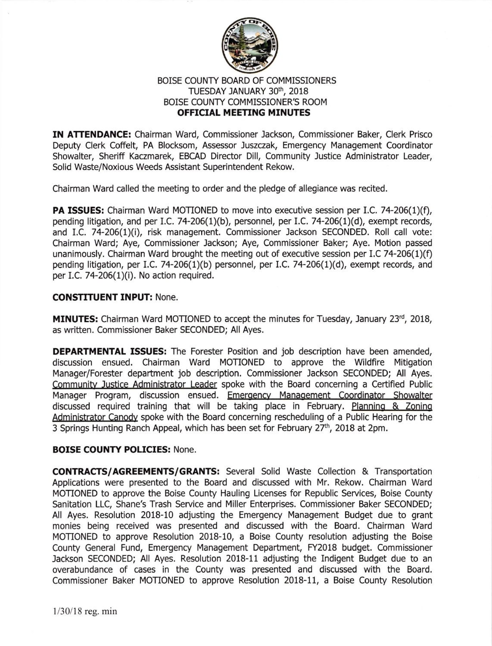

## BOISE COUNTY BOARD OF COMMISSIONERS TUESDAY JANUARY 30th, 2018 BOISE COUNTY COMMISSIONER'S ROOM OFFICIAL MEETING MINUTES

IN ATTENDANCE: Chairman Ward, Commissioner Jackson, Commissioner Baker, Clerk Prisco Deputy Clerk Coffelt, PA Blocksom, Assessor Juszczak, Emergency Management Coordinator Showalter, Sheriff Kaczmarek, EBCAD Director Dill, Community Justice Administrator Leader, Solid Waste/Noxious Weeds Assistant Superintendent Rekow.

Chairman Ward called the meeting to order and the pledge of allegiance was recited.

**PA ISSUES:** Chairman Ward MOTIONED to move into executive session per I.C. 74-206(1)(f), pending litigation, and per I.C. 74-206(1)(b), personnel, per I.C. 74-206(1)(d), exempt records, and I.C. 74-206(1)(i), risk management. Commissioner Jackson SECONDED. Roll call vote: Chairman Ward; Aye, Commissioner Jackson; Aye, Commissioner Baker; Aye. Motion passed unanimously. Chairman Ward brought the meeting out of executive session per I.C 74-206(1)(f) pending litigation, per I.C. 74-206(1)(b) personnel, per I.C. 74-206(1)(d), exempt records, and per I.C. 74-206 $(1)(i)$ . No action required.

## CONSTITUENT INPUT: None.

**MINUTES:** Chairman Ward MOTIONED to accept the minutes for Tuesday, January 23rd, 2018, as written. Commissioner Baker SECONDED; All Ayes.

**DEPARTMENTAL ISSUES:** The Forester Position and job description have been amended, discussion ensued. Chairman Ward MOTIONED to approve the Wildfire Mitigation Manager/Forester department job description. Commissioner Jackson SECONDED; All Ayes. Communitv Justice Administrator Leader spoke with the Board concerning a Cetified Public Manager Program, discussion ensued. Emergency Management Coordinator Showalter discussed required training that will be taking place in February. Planning & Zoning Administrator Canodv spoke with the Board concerning rescheduling of a Public Hearing for the 3 Springs Hunting Ranch Appeal, which has been set for February 27<sup>th</sup>, 2018 at 2pm.

## BOISE COUNTY POLICIES: None.

CONTRACTS/AGREEMENTS/GRANTS: Several Solid Waste Collection & Transpotation Applications were presented to the Board and discussed with Mr. Rekow. Chairman Ward MOTIONED to approve the Boise County Hauling Licenses for Republic Services, Boise County Sanitation LLC, Shane's Trash Service and Miller Enterprises. Commissioner Baker SECONDED; All Ayes. Resolution 2018-10 adjusting the Emergency Management Budget due to grant monies being received was presented and discussed with the Board. Chairman Ward MOTIONED to approve Resolution 2018-10, a Boise County resolution adjusting the Boise County General Fund, Emergency Management Department, FY2018 budget. Commissioner Jackson SECONDED; All Ayes. Resolution 2018-11 adjusting the Indigent Budget due to an overabundance of cases in the County was presented and discussed with the Board. Commissioner Baker MOTIONED to approve Resolution 2018-11, a Boise County Resolution